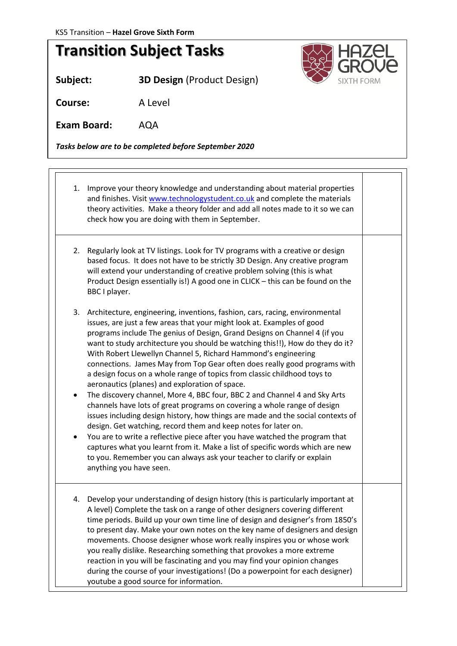

## **Transition Subject Tasks**

**Subject: 3D Design** (Product Design)

**Course:** A Level

**Exam Board:** AQA

*Tasks below are to be completed before September 2020*

- 1. Improve your theory knowledge and understanding about material properties and finishes. Visit [www.technologystudent.co.uk](http://www.technologystudent.co.uk/) and complete the materials theory activities. Make a theory folder and add all notes made to it so we can check how you are doing with them in September. 2. Regularly look at TV listings. Look for TV programs with a creative or design based focus. It does not have to be strictly 3D Design. Any creative program
	- will extend your understanding of creative problem solving (this is what Product Design essentially is!) A good one in CLICK – this can be found on the BBC I player.
	- 3. Architecture, engineering, inventions, fashion, cars, racing, environmental issues, are just a few areas that your might look at. Examples of good programs include The genius of Design, Grand Designs on Channel 4 (if you want to study architecture you should be watching this!!), How do they do it? With Robert Llewellyn Channel 5, Richard Hammond's engineering connections. James May from Top Gear often does really good programs with a design focus on a whole range of topics from classic childhood toys to aeronautics (planes) and exploration of space.
	- The discovery channel, More 4, BBC four, BBC 2 and Channel 4 and Sky Arts channels have lots of great programs on covering a whole range of design issues including design history, how things are made and the social contexts of design. Get watching, record them and keep notes for later on.
	- You are to write a reflective piece after you have watched the program that captures what you learnt from it. Make a list of specific words which are new to you. Remember you can always ask your teacher to clarify or explain anything you have seen.
	- 4. Develop your understanding of design history (this is particularly important at A level) Complete the task on a range of other designers covering different time periods. Build up your own time line of design and designer's from 1850's to present day. Make your own notes on the key name of designers and design movements. Choose designer whose work really inspires you or whose work you really dislike. Researching something that provokes a more extreme reaction in you will be fascinating and you may find your opinion changes during the course of your investigations! (Do a powerpoint for each designer) youtube a good source for information.